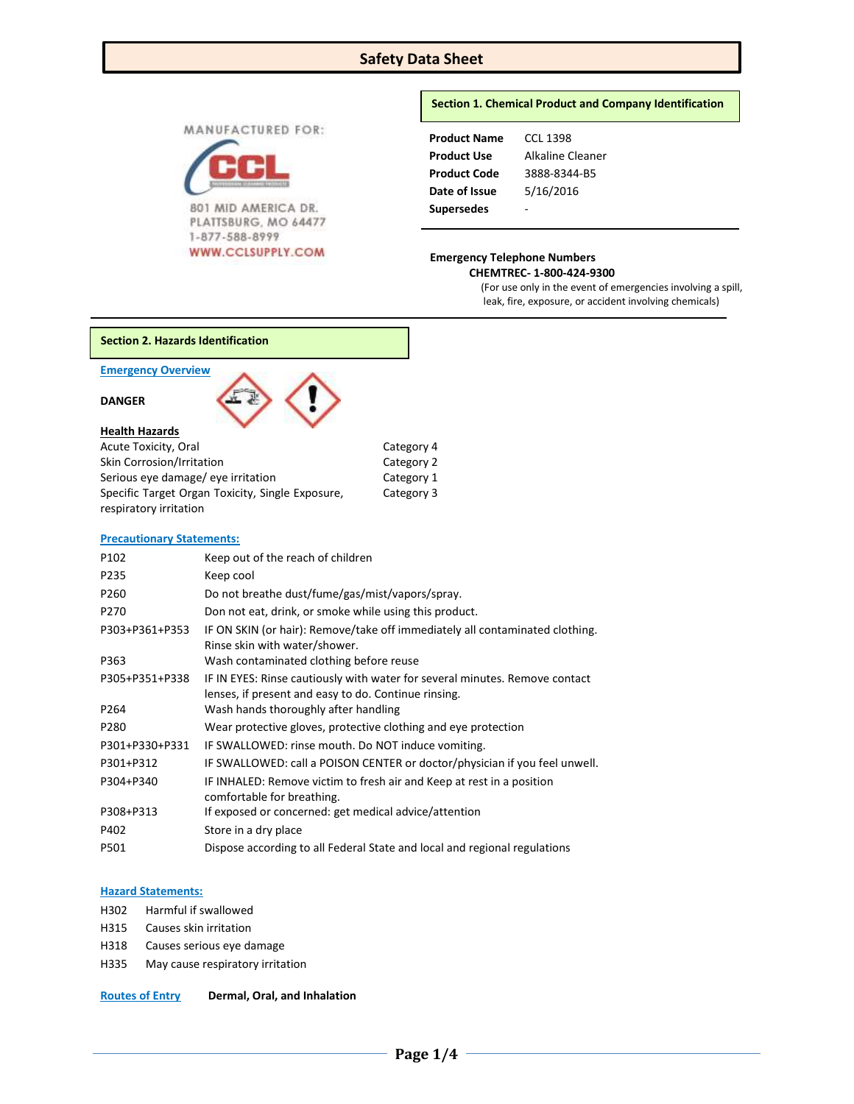## **Safety Data Sheet**

MANUFACTURED FOR:



801 MID AMERICA DR. PLATTSBURG, MO 64477 1-877-588-8999

### **Section 1. Chemical Product and Company Identification**

| <b>Product Name</b> | CCL 1398         |
|---------------------|------------------|
| <b>Product Use</b>  | Alkaline Cleaner |
| <b>Product Code</b> | 3888-8344-B5     |
| Date of Issue       | 5/16/2016        |
| <b>Supersedes</b>   |                  |

# WWW.CCLSUPPLY.COM Emergency Telephone Numbers

 **CHEMTREC- 1-800-424-9300**

(For use only in the event of emergencies involving a spill, leak, fire, exposure, or accident involving chemicals)

**Section 2. Hazards Identification**

#### **Emergency Overview**

## **DANGER**

| <b>Health Hazards</b>                            |            |
|--------------------------------------------------|------------|
| Acute Toxicity, Oral                             | Category 4 |
| Skin Corrosion/Irritation                        | Category 2 |
| Serious eye damage/ eye irritation               | Category 1 |
| Specific Target Organ Toxicity, Single Exposure, | Category 3 |

#### **Precautionary Statements:**

respiratory irritation

| P102             | Keep out of the reach of children                                                                                                   |
|------------------|-------------------------------------------------------------------------------------------------------------------------------------|
| P235             | Keep cool                                                                                                                           |
| P260             | Do not breathe dust/fume/gas/mist/vapors/spray.                                                                                     |
| P <sub>270</sub> | Don not eat, drink, or smoke while using this product.                                                                              |
| P303+P361+P353   | IF ON SKIN (or hair): Remove/take off immediately all contaminated clothing.<br>Rinse skin with water/shower.                       |
| P363             | Wash contaminated clothing before reuse                                                                                             |
| P305+P351+P338   | IF IN EYES: Rinse cautiously with water for several minutes. Remove contact<br>lenses, if present and easy to do. Continue rinsing. |
| P264             | Wash hands thoroughly after handling                                                                                                |
| P280             | Wear protective gloves, protective clothing and eye protection                                                                      |
| P301+P330+P331   | IF SWALLOWED: rinse mouth. Do NOT induce vomiting.                                                                                  |
| P301+P312        | IF SWALLOWED: call a POISON CENTER or doctor/physician if you feel unwell.                                                          |
| P304+P340        | IF INHALED: Remove victim to fresh air and Keep at rest in a position<br>comfortable for breathing.                                 |
| P308+P313        | If exposed or concerned: get medical advice/attention                                                                               |
| P402             | Store in a dry place                                                                                                                |
| P501             | Dispose according to all Federal State and local and regional regulations                                                           |

### **Hazard Statements:**

- H302 Harmful if swallowed
- H315 Causes skin irritation
- H318 Causes serious eye damage
- H335 May cause respiratory irritation

**Routes of Entry Dermal, Oral, and Inhalation**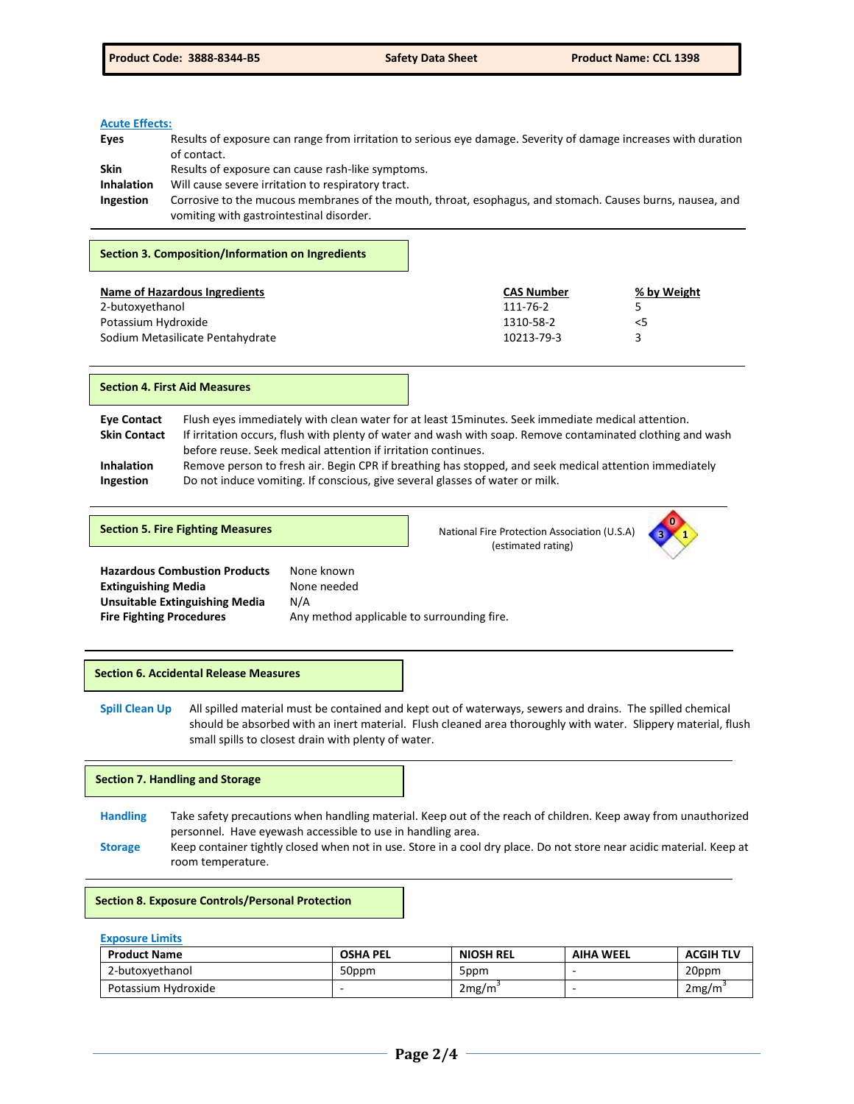## **Acute Effects:**

| Eyes              | Results of exposure can range from irritation to serious eye damage. Severity of damage increases with duration |
|-------------------|-----------------------------------------------------------------------------------------------------------------|
|                   | of contact.                                                                                                     |
| <b>Skin</b>       | Results of exposure can cause rash-like symptoms.                                                               |
| <b>Inhalation</b> | Will cause severe irritation to respiratory tract.                                                              |
| <b>Ingestion</b>  | Corrosive to the mucous membranes of the mouth, throat, esophagus, and stomach. Causes burns, nausea, and       |
|                   | vomiting with gastrointestinal disorder.                                                                        |

#### **Section 3. Composition/Information on Ingredients**

| Name of Hazardous Ingredients    | <b>CAS Number</b> | % by Weight |
|----------------------------------|-------------------|-------------|
| 2-butoxyethanol                  | 111-76-2          | 5           |
| Potassium Hydroxide              | 1310-58-2         | <5          |
| Sodium Metasilicate Pentahydrate | 10213-79-3        |             |

**Section 4. First Aid Measures**

**Eye Contact** Flush eyes immediately with clean water for at least 15minutes. Seek immediate medical attention. **Skin Contact** If irritation occurs, flush with plenty of water and wash with soap. Remove contaminated clothing and wash before reuse. Seek medical attention if irritation continues. **Inhalation** Remove person to fresh air. Begin CPR if breathing has stopped, and seek medical attention immediately **Ingestion** Do not induce vomiting. If conscious, give several glasses of water or milk.

|  |  |  | <b>Section 5. Fire Fighting Measures</b> |
|--|--|--|------------------------------------------|
|  |  |  |                                          |

**National Fire Protection Association (U.S.A)** (estimated rating)



Hazardous Combustion Products None known **Extinguishing Media None needed Unsuitable Extinguishing Media** N/A **Fire Fighting Procedures Any method applicable to surrounding fire.** 

#### **Section 6. Accidental Release Measures**

**Spill Clean Up** All spilled material must be contained and kept out of waterways, sewers and drains. The spilled chemical should be absorbed with an inert material. Flush cleaned area thoroughly with water. Slippery material, flush small spills to closest drain with plenty of water.

## **Section 7. Handling and Storage**

**Handling** Take safety precautions when handling material. Keep out of the reach of children. Keep away from unauthorized personnel. Have eyewash accessible to use in handling area.

**Storage** Keep container tightly closed when not in use. Store in a cool dry place. Do not store near acidic material. Keep at room temperature.

#### **Section 8. Exposure Controls/Personal Protection**

#### **Exposure Limits**

| <b>Product Name</b> | <b>OSHA PEL</b> | <b>NIOSH REL</b> | <b>AIHA WEEL</b> | <b>ACGIH TLV</b> |
|---------------------|-----------------|------------------|------------------|------------------|
| 2-butoxyethanol     | 50ppm           | 5ppm             |                  | 20ppm            |
| Potassium Hydroxide |                 | 2mg/m            |                  | 2mg/m            |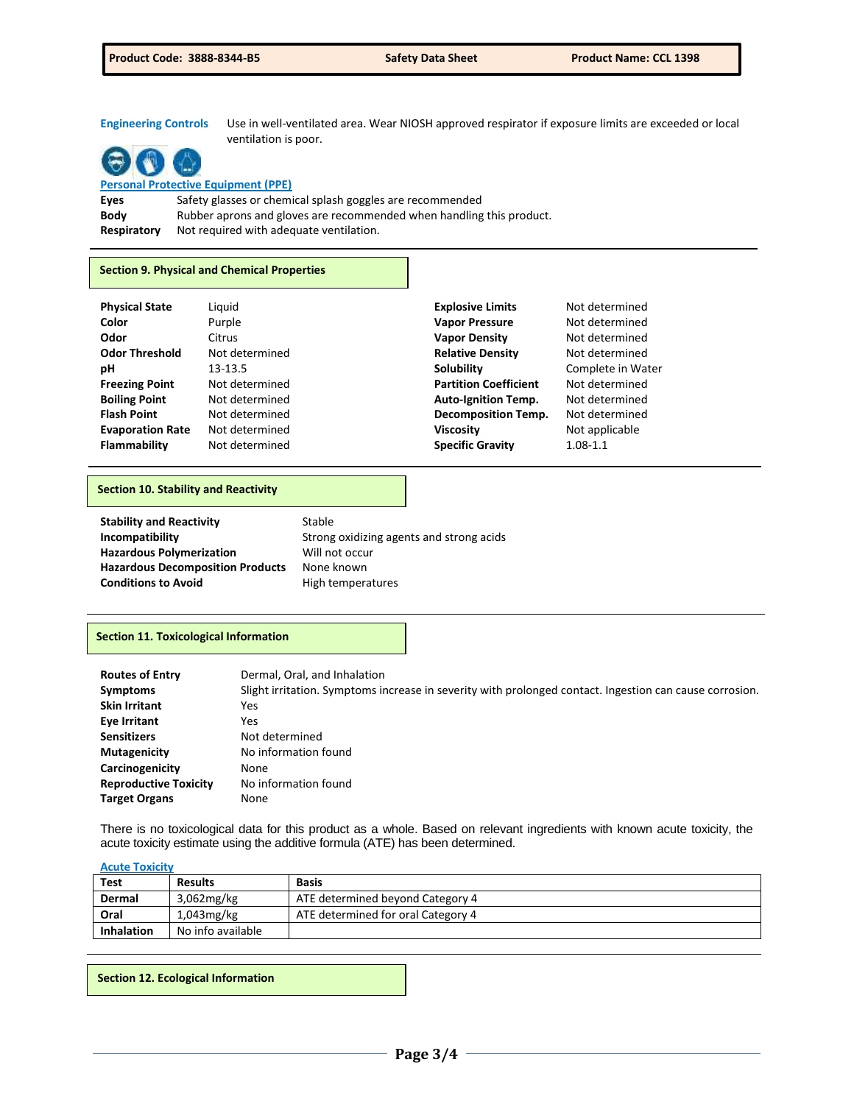## **Engineering Controls** Use in well-ventilated area. Wear NIOSH approved respirator if exposure limits are exceeded or local

**Personal Protective Equipment (PPE)**

**Eyes** Safety glasses or chemical splash goggles are recommended **Body** Rubber aprons and gloves are recommended when handling this product. **Respiratory** Not required with adequate ventilation.

ventilation is poor.

#### **Section 9. Physical and Chemical Properties**

| <b>Physical State</b>   | Liguid         | <b>Explosive Limits</b>      | Not determined    |
|-------------------------|----------------|------------------------------|-------------------|
| Color                   | Purple         | <b>Vapor Pressure</b>        | Not determined    |
| Odor                    | Citrus         | <b>Vapor Density</b>         | Not determined    |
| <b>Odor Threshold</b>   | Not determined | <b>Relative Density</b>      | Not determined    |
| рH                      | 13-13.5        | Solubility                   | Complete in Water |
| <b>Freezing Point</b>   | Not determined | <b>Partition Coefficient</b> | Not determined    |
| <b>Boiling Point</b>    | Not determined | <b>Auto-Ignition Temp.</b>   | Not determined    |
| <b>Flash Point</b>      | Not determined | <b>Decomposition Temp.</b>   | Not determined    |
| <b>Evaporation Rate</b> | Not determined | <b>Viscosity</b>             | Not applicable    |
| Flammability            | Not determined | <b>Specific Gravity</b>      | $1.08 - 1.1$      |

#### **Section 10. Stability and Reactivity**

| <b>Stability and Reactivity</b>         | Stable                                   |
|-----------------------------------------|------------------------------------------|
| Incompatibility                         | Strong oxidizing agents and strong acids |
| <b>Hazardous Polymerization</b>         | Will not occur                           |
| <b>Hazardous Decomposition Products</b> | None known                               |
| <b>Conditions to Avoid</b>              | High temperatures                        |

#### **Section 11. Toxicological Information**

| <b>Routes of Entry</b>       | Dermal, Oral, and Inhalation                                                                            |
|------------------------------|---------------------------------------------------------------------------------------------------------|
| <b>Symptoms</b>              | Slight irritation. Symptoms increase in severity with prolonged contact. Ingestion can cause corrosion. |
| <b>Skin Irritant</b>         | Yes                                                                                                     |
| Eye Irritant                 | Yes                                                                                                     |
| <b>Sensitizers</b>           | Not determined                                                                                          |
| <b>Mutagenicity</b>          | No information found                                                                                    |
| Carcinogenicity              | None                                                                                                    |
| <b>Reproductive Toxicity</b> | No information found                                                                                    |
| <b>Target Organs</b>         | None                                                                                                    |

There is no toxicological data for this product as a whole. Based on relevant ingredients with known acute toxicity, the acute toxicity estimate using the additive formula (ATE) has been determined.

## **Acute Toxicity**

| <b>Test</b>       | <b>Results</b>    | <b>Basis</b>                       |
|-------------------|-------------------|------------------------------------|
| Dermal            | $3.062$ mg/kg     | ATE determined beyond Category 4   |
| Oral              | $1,043$ mg/kg     | ATE determined for oral Category 4 |
| <b>Inhalation</b> | No info available |                                    |

**Section 12. Ecological Information**